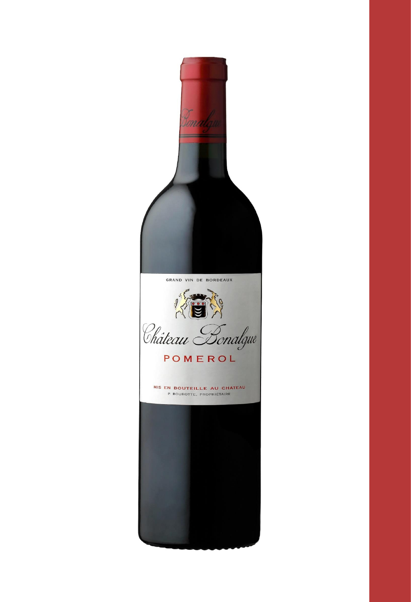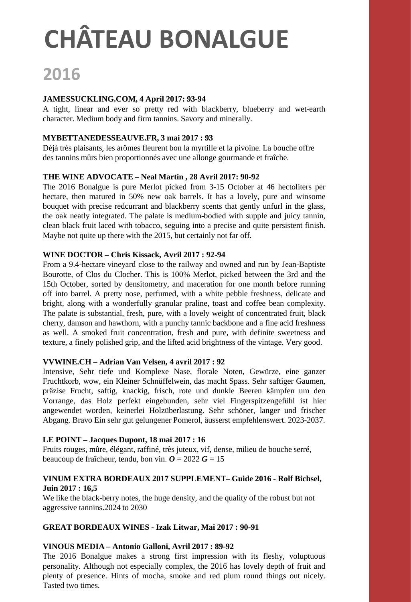## **2016**

#### **JAMESSUCKLING.COM, 4 April 2017: 93-94**

A tight, linear and ever so pretty red with blackberry, blueberry and wet-earth character. Medium body and firm tannins. Savory and minerally.

#### **MYBETTANEDESSEAUVE.FR, 3 mai 2017 : 93**

Déjà très plaisants, les arômes fleurent bon la myrtille et la pivoine. La bouche offre des tannins mûrs bien proportionnés avec une allonge gourmande et fraîche.

#### **THE WINE ADVOCATE – Neal Martin , 28 Avril 2017: 90-92**

The 2016 Bonalgue is pure Merlot picked from 3-15 October at 46 hectoliters per hectare, then matured in 50% new oak barrels. It has a lovely, pure and winsome bouquet with precise redcurrant and blackberry scents that gently unfurl in the glass, the oak neatly integrated. The palate is medium-bodied with supple and juicy tannin, clean black fruit laced with tobacco, seguing into a precise and quite persistent finish. Maybe not quite up there with the 2015, but certainly not far off.

#### **WINE DOCTOR – Chris Kissack, Avril 2017 : 92-94**

From a 9.4-hectare vineyard close to the railway and owned and run by Jean-Baptiste Bourotte, of Clos du Clocher. This is 100% Merlot, picked between the 3rd and the 15th October, sorted by densitometry, and maceration for one month before running off into barrel. A pretty nose, perfumed, with a white pebble freshness, delicate and bright, along with a wonderfully granular praline, toast and coffee bean complexity. The palate is substantial, fresh, pure, with a lovely weight of concentrated fruit, black cherry, damson and hawthorn, with a punchy tannic backbone and a fine acid freshness as well. A smoked fruit concentration, fresh and pure, with definite sweetness and texture, a finely polished grip, and the lifted acid brightness of the vintage. Very good.

#### **VVWINE.CH – Adrian Van Velsen, 4 avril 2017 : 92**

Intensive, Sehr tiefe und Komplexe Nase, florale Noten, Gewürze, eine ganzer Fruchtkorb, wow, ein Kleiner Schnüffelwein, das macht Spass. Sehr saftiger Gaumen, präzise Frucht, saftig, knackig, frisch, rote und dunkle Beeren kämpfen um den Vorrange, das Holz perfekt eingebunden, sehr viel Fingerspitzengefühl ist hier angewendet worden, keinerlei Holzüberlastung. Sehr schöner, langer und frischer Abgang. Bravo Ein sehr gut gelungener Pomerol, äusserst empfehlenswert. 2023-2037.

#### **LE POINT – Jacques Dupont, 18 mai 2017 : 16**

Fruits rouges, mûre, élégant, raffiné, très juteux, vif, dense, milieu de bouche serré, beaucoup de fraîcheur, tendu, bon vin.  $\boldsymbol{O} = 2022 \boldsymbol{G} = 15$ 

#### **VINUM EXTRA BORDEAUX 2017 SUPPLEMENT– Guide 2016 - Rolf Bichsel, Juin 2017 : 16,5**

We like the black-berry notes, the huge density, and the quality of the robust but not aggressive tannins.2024 to 2030

#### **GREAT BORDEAUX WINES - Izak Litwar, Mai 2017 : 90-91**

#### **VINOUS MEDIA – Antonio Galloni, Avril 2017 : 89-92**

The 2016 Bonalgue makes a strong first impression with its fleshy, voluptuous personality. Although not especially complex, the 2016 has lovely depth of fruit and plenty of presence. Hints of mocha, smoke and red plum round things out nicely. Tasted two times.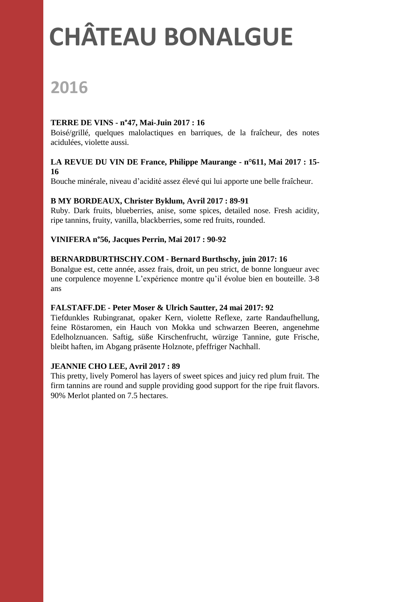## **PRIMEURS 2015 CHÂTEAU BONALGUE**

### **2016**

#### **TERRE DE VINS - n°47, Mai-Juin 2017 : 16**

Boisé/grillé, quelques malolactiques en barriques, de la fraîcheur, des notes acidulées, violette aussi.

#### **LA REVUE DU VIN DE France, Philippe Maurange - n°611, Mai 2017 : 15- 16**

Bouche minérale, niveau d'acidité assez élevé qui lui apporte une belle fraîcheur.

#### **B MY BORDEAUX, Christer Byklum, Avril 2017 : 89-91**

Ruby. Dark fruits, blueberries, anise, some spices, detailed nose. Fresh acidity, ripe tannins, fruity, vanilla, blackberries, some red fruits, rounded.

#### **VINIFERA n°56, Jacques Perrin, Mai 2017 : 90-92**

#### **BERNARDBURTHSCHY.COM - Bernard Burthschy, juin 2017: 16**

Bonalgue est, cette année, assez frais, droit, un peu strict, de bonne longueur avec une corpulence moyenne L'expérience montre qu'il évolue bien en bouteille. 3-8 ans

#### **FALSTAFF.DE - Peter Moser & Ulrich Sautter, 24 mai 2017: 92**

Tiefdunkles Rubingranat, opaker Kern, violette Reflexe, zarte Randaufhellung, feine Röstaromen, ein Hauch von Mokka und schwarzen Beeren, angenehme Edelholznuancen. Saftig, süße Kirschenfrucht, würzige Tannine, gute Frische, bleibt haften, im Abgang präsente Holznote, pfeffriger Nachhall.

#### **JEANNIE CHO LEE, Avril 2017 : 89**

This pretty, lively Pomerol has layers of sweet spices and juicy red plum fruit. The firm tannins are round and supple providing good support for the ripe fruit flavors. 90% Merlot planted on 7.5 hectares.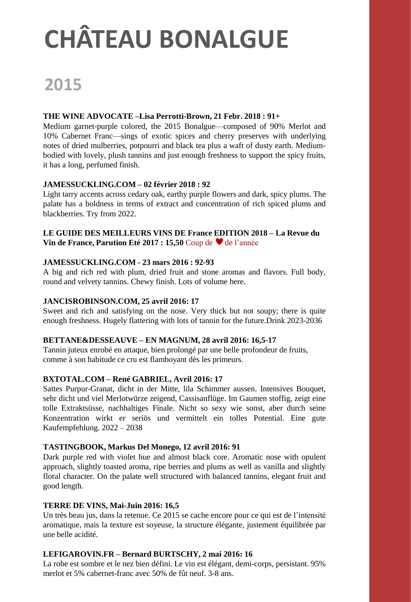### **2015**

#### **THE WINE ADVOCATE –Lisa Perrotti-Brown, 21 Febr. 2018 : 91+**

Medium garnet-purple colored, the 2015 Bonalgue—composed of 90% Merlot and 10% Cabernet Franc—sings of exotic spices and cherry preserves with underlying notes of dried mulberries, potpourri and black tea plus a waft of dusty earth. Mediumbodied with lovely, plush tannins and just enough freshness to support the spicy fruits, it has a long, perfumed finish.

#### **JAMESSUCKLING.COM – 02 février 2018 : 92**

Light tarry accents across cedary oak, earthy purple flowers and dark, spicy plums. The palate has a boldness in terms of extract and concentration of rich spiced plums and blackberries. Try from 2022.

#### **LE GUIDE DES MEILLEURS VINS DE France EDITION 2018 – La Revue du Vin de France, Parution Eté 2017 : 15,50 Coup de ♥ de l'année**

#### **JAMESSUCKLING.COM - 23 mars 2016 : 92-93**

A big and rich red with plum, dried fruit and stone aromas and flavors. Full body, round and velvety tannins. Chewy finish. Lots of volume here.

#### **JANCISROBINSON.COM, 25 avril 2016: 17**

Sweet and rich and satisfying on the nose. Very thick but not soupy; there is quite enough freshness. Hugely flattering with lots of tannin for the future.Drink 2023-2036

#### **BETTANE&DESSEAUVE – EN MAGNUM, 28 avril 2016: 16,5-17**

Tannin juteux enrobé en attaque, bien prolongé par une belle profondeur de fruits, comme à son habitude ce cru est flamboyant dès les primeurs.

#### **BXTOTAL.COM – René GABRIEL, Avril 2016: 17**

Sattes Purpur-Granat, dicht in der Mitte, lila Schimmer aussen. Intensives Bouquet, sehr dicht und viel Merlotwürze zeigend, Cassisanflüge. Im Gaumen stoffig, zeigt eine tolle Extraktsüsse, nachhaltiges Finale. Nicht so sexy wie sonst, aber durch seine Konzentration wirkt er seriös und vermittelt ein tolles Potential. Eine gute Kaufempfehlung. 2022 – 2038

#### **TASTINGBOOK, Markus Del Monego, 12 avril 2016: 91**

Dark purple red with violet hue and almost black core. Aromatic nose with opulent approach, slightly toasted aroma, ripe berries and plums as well as vanilla and slightly floral character. On the palate well structured with balanced tannins, elegant fruit and good length.

#### **TERRE DE VINS, Mai-Juin 2016: 16,5**

Un très beau jus, dans la retenue. Ce 2015 se cache encore pour ce qui est de l'intensité aromatique, mais la texture est soyeuse, la structure élégante, justement équilibrée par une belle acidité.

#### **LEFIGAROVIN.FR – Bernard BURTSCHY, 2 mai 2016: 16**

La robe est sombre et le nez bien défini. Le vin est élégant, demi-corps, persistant. 95% merlot et 5% cabernet-franc avec 50% de fût neuf. 3-8 ans.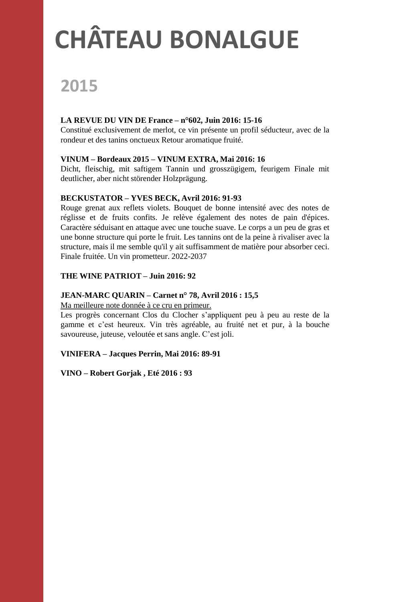## **PRIMEURS CHÂTEAU BONALGUE**

### **2015**

#### **LA REVUE DU VIN DE France – n°602, Juin 2016: 15-16**

Constitué exclusivement de merlot, ce vin présente un profil séducteur, avec de la rondeur et des tanins onctueux Retour aromatique fruité.

#### **VINUM – Bordeaux 2015 – VINUM EXTRA, Mai 2016: 16**

Dicht, fleischig, mit saftigem Tannin und grosszügigem, feurigem Finale mit deutlicher, aber nicht störender Holzprägung.

#### **BECKUSTATOR – YVES BECK, Avril 2016: 91-93**

Rouge grenat aux reflets violets. Bouquet de bonne intensité avec des notes de réglisse et de fruits confits. Je relève également des notes de pain d'épices. Caractère séduisant en attaque avec une touche suave. Le corps a un peu de gras et une bonne structure qui porte le fruit. Les tannins ont de la peine à rivaliser avec la structure, mais il me semble qu'il y ait suffisamment de matière pour absorber ceci. Finale fruitée. Un vin prometteur. 2022-2037

#### **THE WINE PATRIOT – Juin 2016: 92**

#### **JEAN-MARC QUARIN – Carnet n° 78, Avril 2016 : 15,5**

Ma meilleure note donnée à ce cru en primeur.

Les progrès concernant Clos du Clocher s'appliquent peu à peu au reste de la gamme et c'est heureux. Vin très agréable, au fruité net et pur, à la bouche savoureuse, juteuse, veloutée et sans angle. C'est joli.

#### **VINIFERA – Jacques Perrin, Mai 2016: 89-91**

#### **VINO – Robert Gorjak , Eté 2016 : 93**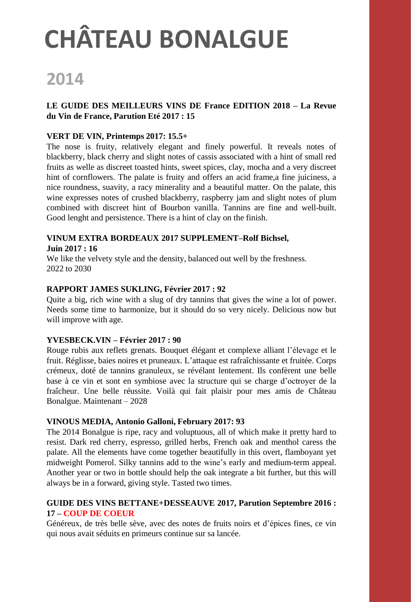### **2014**

#### **LE GUIDE DES MEILLEURS VINS DE France EDITION 2018 – La Revue du Vin de France, Parution Eté 2017 : 15**

#### **VERT DE VIN, Printemps 2017: 15.5+**

The nose is fruity, relatively elegant and finely powerful. It reveals notes of blackberry, black cherry and slight notes of cassis associated with a hint of small red fruits as welle as discreet toasted hints, sweet spices, clay, mocha and a very discreet hint of cornflowers. The palate is fruity and offers an acid frame, a fine juiciness, a nice roundness, suavity, a racy minerality and a beautiful matter. On the palate, this wine expresses notes of crushed blackberry, raspberry jam and slight notes of plum combined with discreet hint of Bourbon vanilla. Tannins are fine and well-built. Good lenght and persistence. There is a hint of clay on the finish.

#### **VINUM EXTRA BORDEAUX 2017 SUPPLEMENT–Rolf Bichsel, Juin 2017 : 16**

We like the velvety style and the density, balanced out well by the freshness. 2022 to 2030

#### **RAPPORT JAMES SUKLING, Février 2017 : 92**

Quite a big, rich wine with a slug of dry tannins that gives the wine a lot of power. Needs some time to harmonize, but it should do so very nicely. Delicious now but will improve with age.

#### **YVESBECK.VIN – Février 2017 : 90**

Rouge rubis aux reflets grenats. Bouquet élégant et complexe alliant l'élevage et le fruit. Réglisse, baies noires et pruneaux. L'attaque est rafraîchissante et fruitée. Corps crémeux, doté de tannins granuleux, se révélant lentement. Ils confèrent une belle base à ce vin et sont en symbiose avec la structure qui se charge d'octroyer de la fraîcheur. Une belle réussite. Voilà qui fait plaisir pour mes amis de Château Bonalgue. Maintenant – 2028

#### **VINOUS MEDIA, Antonio Galloni, February 2017: 93**

The 2014 Bonalgue is ripe, racy and voluptuous, all of which make it pretty hard to resist. Dark red cherry, espresso, grilled herbs, French oak and menthol caress the palate. All the elements have come together beautifully in this overt, flamboyant yet midweight Pomerol. Silky tannins add to the wine's early and medium-term appeal. Another year or two in bottle should help the oak integrate a bit further, but this will always be in a forward, giving style. Tasted two times.

#### **GUIDE DES VINS BETTANE+DESSEAUVE 2017, Parution Septembre 2016 : 17 – COUP DE COEUR**

Généreux, de très belle sève, avec des notes de fruits noirs et d'épices fines, ce vin qui nous avait séduits en primeurs continue sur sa lancée.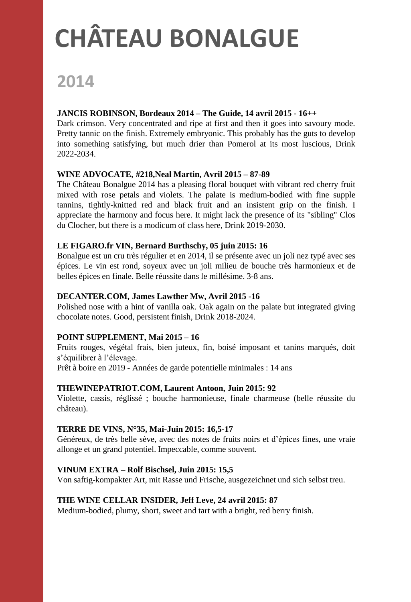### **2014**

#### **JANCIS ROBINSON, Bordeaux 2014 – The Guide, 14 avril 2015 - 16++**

Dark crimson. Very concentrated and ripe at first and then it goes into savoury mode. Pretty tannic on the finish. Extremely embryonic. This probably has the guts to develop into something satisfying, but much drier than Pomerol at its most luscious, Drink 2022-2034.

#### **WINE ADVOCATE, #218,Neal Martin, Avril 2015 – 87-89**

The Château Bonalgue 2014 has a pleasing floral bouquet with vibrant red cherry fruit mixed with rose petals and violets. The palate is medium-bodied with fine supple tannins, tightly-knitted red and black fruit and an insistent grip on the finish. I appreciate the harmony and focus here. It might lack the presence of its "sibling" Clos du Clocher, but there is a modicum of class here, Drink 2019-2030.

#### **LE FIGARO.fr VIN, Bernard Burthschy, 05 juin 2015: 16**

Bonalgue est un cru très régulier et en 2014, il se présente avec un joli nez typé avec ses épices. Le vin est rond, soyeux avec un joli milieu de bouche très harmonieux et de belles épices en finale. Belle réussite dans le millésime. 3-8 ans.

#### **DECANTER.COM, James Lawther Mw, Avril 2015 -16**

Polished nose with a hint of vanilla oak. Oak again on the palate but integrated giving chocolate notes. Good, persistent finish, Drink 2018-2024.

#### **POINT SUPPLEMENT, Mai 2015 – 16**

Fruits rouges, végétal frais, bien juteux, fin, boisé imposant et tanins marqués, doit s'équilibrer à l'élevage.

Prêt à boire en 2019 - Années de garde potentielle minimales : 14 ans

#### **THEWINEPATRIOT.COM, Laurent Antoon, Juin 2015: 92**

Violette, cassis, réglissé ; bouche harmonieuse, finale charmeuse (belle réussite du château).

#### **TERRE DE VINS, N°35, Mai-Juin 2015: 16,5-17**

Généreux, de très belle sève, avec des notes de fruits noirs et d'épices fines, une vraie allonge et un grand potentiel. Impeccable, comme souvent.

#### **VINUM EXTRA – Rolf Bischsel, Juin 2015: 15,5**

Von saftig-kompakter Art, mit Rasse und Frische, ausgezeichnet und sich selbst treu.

#### **THE WINE CELLAR INSIDER, Jeff Leve, 24 avril 2015: 87**

Medium-bodied, plumy, short, sweet and tart with a bright, red berry finish.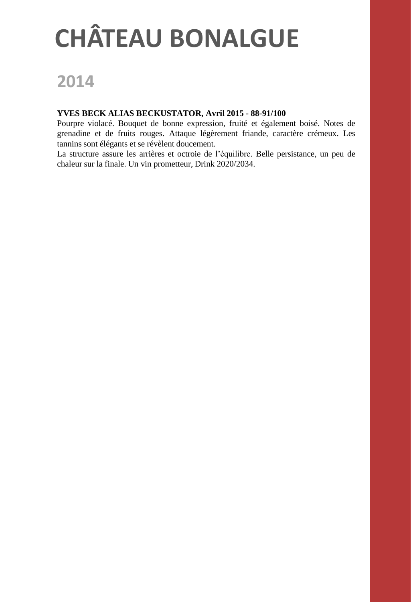### **2014**

#### **YVES BECK ALIAS BECKUSTATOR, Avril 2015 - 88-91/100**

Pourpre violacé. Bouquet de bonne expression, fruité et également boisé. Notes de grenadine et de fruits rouges. Attaque légèrement friande, caractère crémeux. Les tannins sont élégants et se révèlent doucement.

La structure assure les arrières et octroie de l'équilibre. Belle persistance, un peu de chaleur sur la finale. Un vin prometteur, Drink 2020/2034.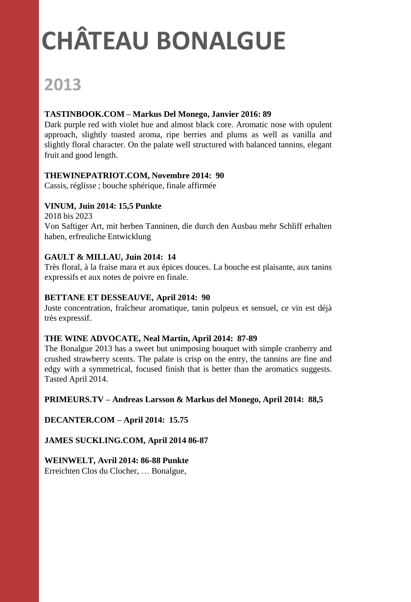## **2013**

#### **TASTINBOOK.COM – Markus Del Monego, Janvier 2016: 89**

Dark purple red with violet hue and almost black core. Aromatic nose with opulent approach, slightly toasted aroma, ripe berries and plums as well as vanilla and slightly floral character. On the palate well structured with balanced tannins, elegant fruit and good length.

#### **THEWINEPATRIOT.COM, Novembre 2014: 90**

Cassis, réglisse ; bouche sphérique, finale affirmée

#### **VINUM, Juin 2014: 15,5 Punkte**

2018 bis 2023 Von Saftiger Art, mit herben Tanninen, die durch den Ausbau mehr Schliff erhalten haben, erfreuliche Entwicklung

#### **GAULT & MILLAU, Juin 2014: 14**

Très floral, à la fraise mara et aux épices douces. La bouche est plaisante, aux tanins expressifs et aux notes de poivre en finale.

#### **BETTANE ET DESSEAUVE, April 2014: 90**

Juste concentration, fraîcheur aromatique, tanin pulpeux et sensuel, ce vin est déjà très expressif.

#### **THE WINE ADVOCATE, Neal Martin, April 2014: 87-89**

The Bonalgue 2013 has a sweet but unimposing bouquet with simple cranberry and crushed strawberry scents. The palate is crisp on the entry, the tannins are fine and edgy with a symmetrical, focused finish that is better than the aromatics suggests. Tasted April 2014.

#### **PRIMEURS.TV – Andreas Larsson & Markus del Monego, April 2014: 88,5**

**DECANTER.COM – April 2014: 15.75**

**JAMES SUCKLING.COM, April 2014 86-87**

**WEINWELT, Avril 2014: 86-88 Punkte**

Erreichten Clos du Clocher, … Bonalgue,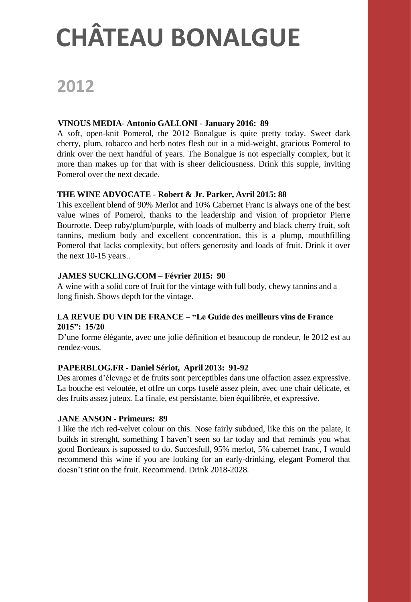### **2012**

#### **VINOUS MEDIA- Antonio GALLONI - January 2016: 89**

A soft, open-knit Pomerol, the 2012 Bonalgue is quite pretty today. Sweet dark cherry, plum, tobacco and herb notes flesh out in a mid-weight, gracious Pomerol to drink over the next handful of years. The Bonalgue is not especially complex, but it more than makes up for that with is sheer deliciousness. Drink this supple, inviting Pomerol over the next decade.

#### **THE WINE ADVOCATE - Robert & Jr. Parker, Avril 2015: 88**

This excellent blend of 90% Merlot and 10% Cabernet Franc is always one of the best value wines of Pomerol, thanks to the leadership and vision of proprietor Pierre Bourrotte. Deep ruby/plum/purple, with loads of mulberry and black cherry fruit, soft tannins, medium body and excellent concentration, this is a plump, mouthfilling Pomerol that lacks complexity, but offers generosity and loads of fruit. Drink it over the next 10-15 years..

#### **JAMES SUCKLING.COM – Février 2015: 90**

A wine with a solid core of fruit for the vintage with full body, chewy tannins and a long finish. Shows depth for the vintage.

#### **LA REVUE DU VIN DE FRANCE – "Le Guide des meilleurs vins de France 2015": 15/20**

D'une forme élégante, avec une jolie définition et beaucoup de rondeur, le 2012 est au rendez-vous.

#### **PAPERBLOG.FR - Daniel Sériot, April 2013: 91-92**

Des aromes d'élevage et de fruits sont perceptibles dans une olfaction assez expressive. La bouche est veloutée, et offre un corps fuselé assez plein, avec une chair délicate, et des fruits assez juteux. La finale, est persistante, bien équilibrée, et expressive.

#### **JANE ANSON - Primeurs: 89**

I like the rich red-velvet colour on this. Nose fairly subdued, like this on the palate, it builds in strenght, something I haven't seen so far today and that reminds you what good Bordeaux is supossed to do. Succesfull, 95% merlot, 5% cabernet franc, I would recommend this wine if you are looking for an early-drinking, elegant Pomerol that doesn't stint on the fruit. Recommend. Drink 2018-2028.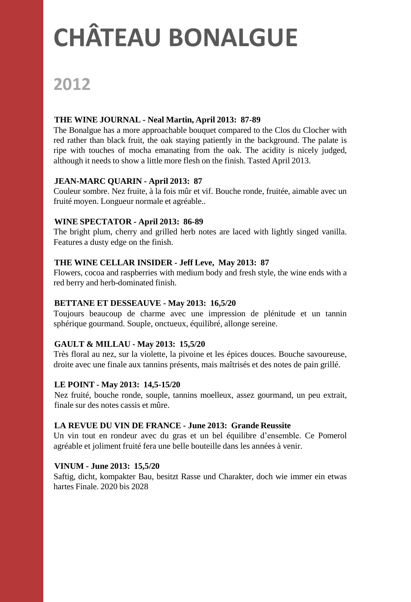### **2012**

#### **THE WINE JOURNAL - Neal Martin, April 2013: 87-89**

The Bonalgue has a more approachable bouquet compared to the Clos du Clocher with red rather than black fruit, the oak staying patiently in the background. The palate is ripe with touches of mocha emanating from the oak. The acidity is nicely judged, although it needs to show a little more flesh on the finish. Tasted April 2013.

#### **JEAN-MARC QUARIN - April 2013: 87**

Couleur sombre. Nez fruite, à la fois mûr et vif. Bouche ronde, fruitée, aimable avec un fruité moyen. Longueur normale et agréable..

#### **WINE SPECTATOR - April 2013: 86-89**

The bright plum, cherry and grilled herb notes are laced with lightly singed vanilla. Features a dusty edge on the finish.

#### **THE WINE CELLAR INSIDER - Jeff Leve, May 2013: 87**

Flowers, cocoa and raspberries with medium body and fresh style, the wine ends with a red berry and herb-dominated finish.

#### **BETTANE ET DESSEAUVE - May 2013: 16,5/20**

Toujours beaucoup de charme avec une impression de plénitude et un tannin sphérique gourmand. Souple, onctueux, équilibré, allonge sereine.

#### **GAULT & MILLAU - May 2013: 15,5/20**

Très floral au nez, sur la violette, la pivoine et les épices douces. Bouche savoureuse, droite avec une finale aux tannins présents, mais maîtrisés et des notes de pain grillé.

#### **LE POINT - May 2013: 14,5-15/20**

Nez fruité, bouche ronde, souple, tannins moelleux, assez gourmand, un peu extrait, finale sur des notes cassis et mûre.

#### **LA REVUE DU VIN DE FRANCE - June 2013: Grande Reussite**

Un vin tout en rondeur avec du gras et un bel équilibre d'ensemble. Ce Pomerol agréable et joliment fruité fera une belle bouteille dans les années à venir.

#### **VINUM - June 2013: 15,5/20**

Saftig, dicht, kompakter Bau, besitzt Rasse und Charakter, doch wie immer ein etwas hartes Finale. 2020 bis 2028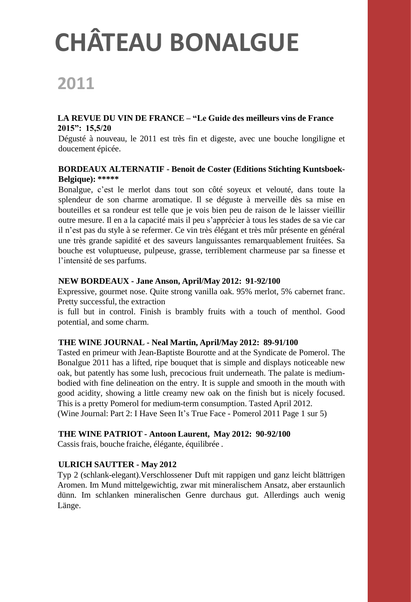### **2011**

#### **LA REVUE DU VIN DE FRANCE – "Le Guide des meilleurs vins de France 2015": 15,5/20**

Dégusté à nouveau, le 2011 est très fin et digeste, avec une bouche longiligne et doucement épicée.

#### **BORDEAUX ALTERNATIF - Benoit de Coster (Editions Stichting Kuntsboek-Belgique): \*\*\*\*\***

Bonalgue, c'est le merlot dans tout son côté soyeux et velouté, dans toute la splendeur de son charme aromatique. Il se déguste à merveille dès sa mise en bouteilles et sa rondeur est telle que je vois bien peu de raison de le laisser vieillir outre mesure. Il en a la capacité mais il peu s'apprécier à tous les stades de sa vie car il n'est pas du style à se refermer. Ce vin très élégant et très mûr présente en général une très grande sapidité et des saveurs languissantes remarquablement fruitées. Sa bouche est voluptueuse, pulpeuse, grasse, terriblement charmeuse par sa finesse et l'intensité de ses parfums.

#### **NEW BORDEAUX - Jane Anson, April/May 2012: 91-92/100**

Expressive, gourmet nose. Quite strong vanilla oak. 95% merlot, 5% cabernet franc. Pretty successful, the extraction

is full but in control. Finish is brambly fruits with a touch of menthol. Good potential, and some charm.

#### **THE WINE JOURNAL - Neal Martin, April/May 2012: 89-91/100**

Tasted en primeur with Jean-Baptiste Bourotte and at the Syndicate de Pomerol. The Bonalgue 2011 has a lifted, ripe bouquet that is simple and displays noticeable new oak, but patently has some lush, precocious fruit underneath. The palate is mediumbodied with fine delineation on the entry. It is supple and smooth in the mouth with good acidity, showing a little creamy new oak on the finish but is nicely focused. This is a pretty Pomerol for medium-term consumption. Tasted April 2012.

(Wine Journal: Part 2: I Have Seen It's True Face - Pomerol 2011 Page 1 sur 5)

#### **THE WINE PATRIOT - Antoon Laurent, May 2012: 90-92/100**

Cassis frais, bouche fraiche, élégante, équilibrée .

#### **ULRICH SAUTTER - May 2012**

Typ 2 (schlank-elegant).Verschlossener Duft mit rappigen und ganz leicht blättrigen Aromen. Im Mund mittelgewichtig, zwar mit mineralischem Ansatz, aber erstaunlich dünn. Im schlanken mineralischen Genre durchaus gut. Allerdings auch wenig Länge.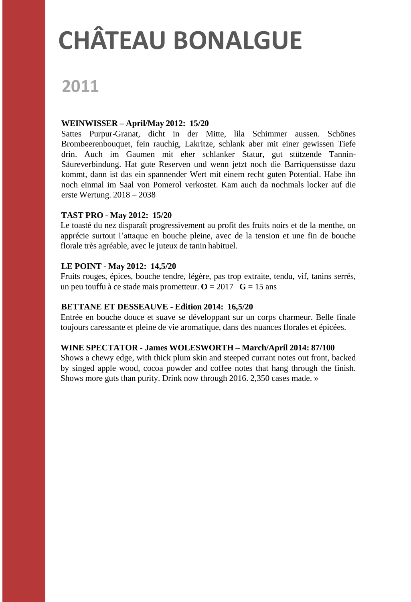### **2011**

#### **WEINWISSER – April/May 2012: 15/20**

Sattes Purpur-Granat, dicht in der Mitte, lila Schimmer aussen. Schönes Brombeerenbouquet, fein rauchig, Lakritze, schlank aber mit einer gewissen Tiefe drin. Auch im Gaumen mit eher schlanker Statur, gut stützende Tannin-Säureverbindung. Hat gute Reserven und wenn jetzt noch die Barriquensüsse dazu kommt, dann ist das ein spannender Wert mit einem recht guten Potential. Habe ihn noch einmal im Saal von Pomerol verkostet. Kam auch da nochmals locker auf die erste Wertung. 2018 – 2038

#### **TAST PRO - May 2012: 15/20**

Le toasté du nez disparaît progressivement au profit des fruits noirs et de la menthe, on apprécie surtout l'attaque en bouche pleine, avec de la tension et une fin de bouche florale très agréable, avec le juteux de tanin habituel.

#### **LE POINT - May 2012: 14,5/20**

Fruits rouges, épices, bouche tendre, légère, pas trop extraite, tendu, vif, tanins serrés, un peu touffu à ce stade mais prometteur.  $\mathbf{O} = 2017$   $\mathbf{G} = 15$  ans

#### **BETTANE ET DESSEAUVE - Edition 2014: 16,5/20**

Entrée en bouche douce et suave se développant sur un corps charmeur. Belle finale toujours caressante et pleine de vie aromatique, dans des nuances florales et épicées.

#### **WINE SPECTATOR - James WOLESWORTH – March/April 2014: 87/100**

Shows a chewy edge, with thick plum skin and steeped currant notes out front, backed by singed apple wood, cocoa powder and coffee notes that hang through the finish. Shows more guts than purity. Drink now through 2016. 2,350 cases made. »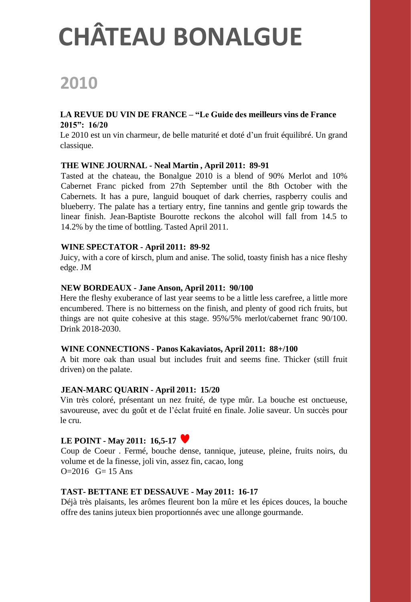### **2010**

#### **LA REVUE DU VIN DE FRANCE – "Le Guide des meilleurs vins de France 2015": 16/20**

Le 2010 est un vin charmeur, de belle maturité et doté d'un fruit équilibré. Un grand classique.

#### **THE WINE JOURNAL - Neal Martin , April 2011: 89-91**

Tasted at the chateau, the Bonalgue 2010 is a blend of 90% Merlot and 10% Cabernet Franc picked from 27th September until the 8th October with the Cabernets. It has a pure, languid bouquet of dark cherries, raspberry coulis and blueberry. The palate has a tertiary entry, fine tannins and gentle grip towards the linear finish. Jean-Baptiste Bourotte reckons the alcohol will fall from 14.5 to 14.2% by the time of bottling. Tasted April 2011.

#### **WINE SPECTATOR - April 2011: 89-92**

Juicy, with a core of kirsch, plum and anise. The solid, toasty finish has a nice fleshy edge. JM

#### **NEW BORDEAUX - Jane Anson, April 2011: 90/100**

Here the fleshy exuberance of last year seems to be a little less carefree, a little more encumbered. There is no bitterness on the finish, and plenty of good rich fruits, but things are not quite cohesive at this stage. 95%/5% merlot/cabernet franc 90/100. Drink 2018-2030.

#### **WINE CONNECTIONS - Panos Kakaviatos, April 2011: 88+/100**

A bit more oak than usual but includes fruit and seems fine. Thicker (still fruit driven) on the palate.

#### **JEAN-MARC QUARIN - April 2011: 15/20**

Vin très coloré, présentant un nez fruité, de type mûr. La bouche est onctueuse, savoureuse, avec du goût et de l'éclat fruité en finale. Jolie saveur. Un succès pour le cru.

#### **LE POINT - May 2011: 16,5-17**

Coup de Coeur . Fermé, bouche dense, tannique, juteuse, pleine, fruits noirs, du volume et de la finesse, joli vin, assez fin, cacao, long  $O=2016$   $G=15$  Ans

#### **TAST- BETTANE ET DESSAUVE - May 2011: 16-17**

Déjà très plaisants, les arômes fleurent bon la mûre et les épices douces, la bouche offre des tanins juteux bien proportionnés avec une allonge gourmande.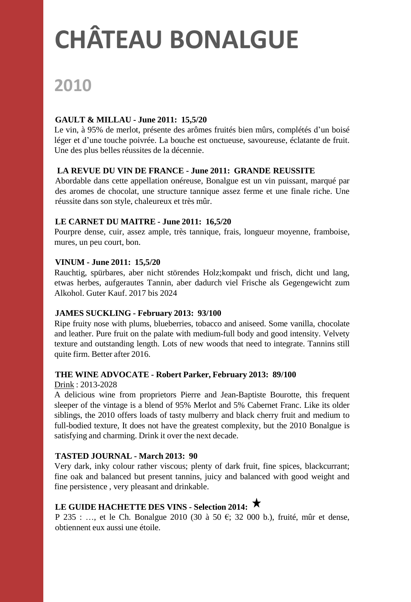### **2010**

#### **GAULT & MILLAU - June 2011: 15,5/20**

Le vin, à 95% de merlot, présente des arômes fruités bien mûrs, complétés d'un boisé léger et d'une touche poivrée. La bouche est onctueuse, savoureuse, éclatante de fruit. Une des plus belles réussites de la décennie.

#### **LA REVUE DU VIN DE FRANCE - June 2011: GRANDE REUSSITE**

Abordable dans cette appellation onéreuse, Bonalgue est un vin puissant, marqué par des aromes de chocolat, une structure tannique assez ferme et une finale riche. Une réussite dans son style, chaleureux et très mûr.

#### **LE CARNET DU MAITRE - June 2011: 16,5/20**

Pourpre dense, cuir, assez ample, très tannique, frais, longueur moyenne, framboise, mures, un peu court, bon.

#### **VINUM - June 2011: 15,5/20**

Rauchtig, spürbares, aber nicht störendes Holz;kompakt und frisch, dicht und lang, etwas herbes, aufgerautes Tannin, aber dadurch viel Frische als Gegengewicht zum Alkohol. Guter Kauf. 2017 bis 2024

#### **JAMES SUCKLING - February 2013: 93/100**

Ripe fruity nose with plums, blueberries, tobacco and aniseed. Some vanilla, chocolate and leather. Pure fruit on the palate with medium-full body and good intensity. Velvety texture and outstanding length. Lots of new woods that need to integrate. Tannins still quite firm. Better after 2016.

#### **THE WINE ADVOCATE - Robert Parker, February 2013: 89/100**

Drink : 2013-2028

A delicious wine from proprietors Pierre and Jean-Baptiste Bourotte, this frequent sleeper of the vintage is a blend of 95% Merlot and 5% Cabernet Franc. Like its older siblings, the 2010 offers loads of tasty mulberry and black cherry fruit and medium to full-bodied texture, It does not have the greatest complexity, but the 2010 Bonalgue is satisfying and charming. Drink it over the next decade.

#### **TASTED JOURNAL - March 2013: 90**

Very dark, inky colour rather viscous; plenty of dark fruit, fine spices, blackcurrant; fine oak and balanced but present tannins, juicy and balanced with good weight and fine persistence , very pleasant and drinkable.

#### **LE GUIDE HACHETTE DES VINS - Selection 2014:**

P 235 : ..., et le Ch. Bonalgue 2010 (30 à 50 €; 32 000 b.), fruité, mûr et dense, obtiennent eux aussi une étoile.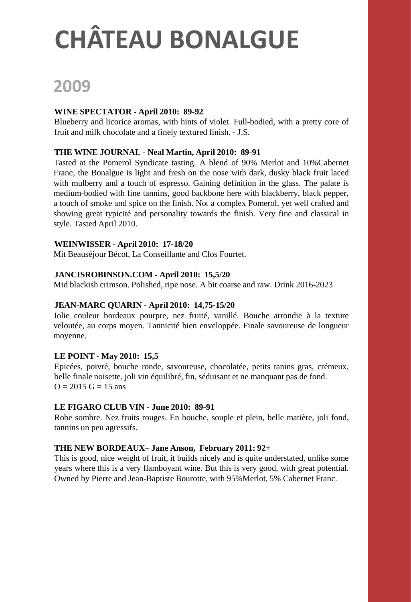### **2009**

#### **WINE SPECTATOR - April 2010: 89-92**

Blueberry and licorice aromas, with hints of violet. Full-bodied, with a pretty core of fruit and milk chocolate and a finely textured finish. - J.S.

#### **THE WINE JOURNAL - Neal Martin, April 2010: 89-91**

Tasted at the Pomerol Syndicate tasting. A blend of 90% Merlot and 10%Cabernet Franc, the Bonalgue is light and fresh on the nose with dark, dusky black fruit laced with mulberry and a touch of espresso. Gaining definition in the glass. The palate is medium-bodied with fine tannins, good backbone here with blackberry, black pepper, a touch of smoke and spice on the finish. Not a complex Pomerol, yet well crafted and showing great typicité and personality towards the finish. Very fine and classical in style. Tasted April 2010.

#### **WEINWISSER - April 2010: 17-18/20**

Mit Beauséjour Bécot, La Conseillante and Clos Fourtet.

#### **JANCISROBINSON.COM - April 2010: 15,5/20**

Mid blackish crimson. Polished, ripe nose. A bit coarse and raw. Drink 2016-2023

#### **JEAN-MARC QUARIN - April 2010: 14,75-15/20**

Jolie couleur bordeaux pourpre, nez fruité, vanillé. Bouche arrondie à la texture veloutée, au corps moyen. Tannicité bien enveloppée. Finale savoureuse de longueur moyenne.

#### **LE POINT - May 2010: 15,5**

Epicées, poivré, bouche ronde, savoureuse, chocolatée, petits tanins gras, crémeux, belle finale noisette, joli vin équilibré, fin, séduisant et ne manquant pas de fond.  $Q = 2015$  G = 15 ans

#### **LE FIGARO CLUB VIN - June 2010: 89-91**

Robe sombre. Nez fruits rouges. En bouche, souple et plein, belle matière, joli fond, tannins un peu agressifs.

#### **THE NEW BORDEAUX– Jane Anson, February 2011: 92+**

This is good, nice weight of fruit, it builds nicely and is quite understated, unlike some years where this is a very flamboyant wine. But this is very good, with great potential. Owned by Pierre and Jean-Baptiste Bourotte, with 95%Merlot, 5% Cabernet Franc.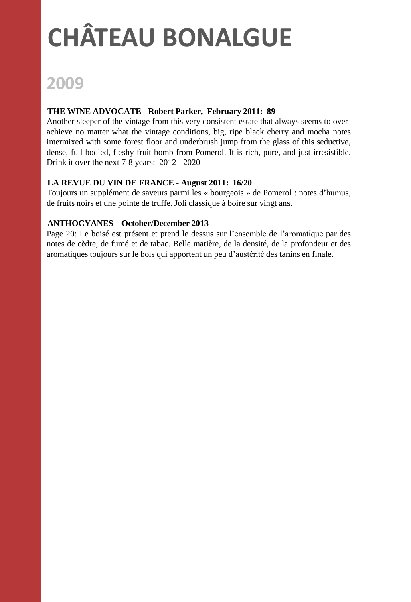### **2009**

#### **THE WINE ADVOCATE - Robert Parker, February 2011: 89**

Another sleeper of the vintage from this very consistent estate that always seems to overachieve no matter what the vintage conditions, big, ripe black cherry and mocha notes intermixed with some forest floor and underbrush jump from the glass of this seductive, dense, full-bodied, fleshy fruit bomb from Pomerol. It is rich, pure, and just irresistible. Drink it over the next 7-8 years: 2012 - 2020

#### **LA REVUE DU VIN DE FRANCE - August 2011: 16/20**

Toujours un supplément de saveurs parmi les « bourgeois » de Pomerol : notes d'humus, de fruits noirs et une pointe de truffe. Joli classique à boire sur vingt ans.

#### **ANTHOCYANES – October/December 2013**

Page 20: Le boisé est présent et prend le dessus sur l'ensemble de l'aromatique par des notes de cèdre, de fumé et de tabac. Belle matière, de la densité, de la profondeur et des aromatiques toujours sur le bois qui apportent un peu d'austérité des tanins en finale.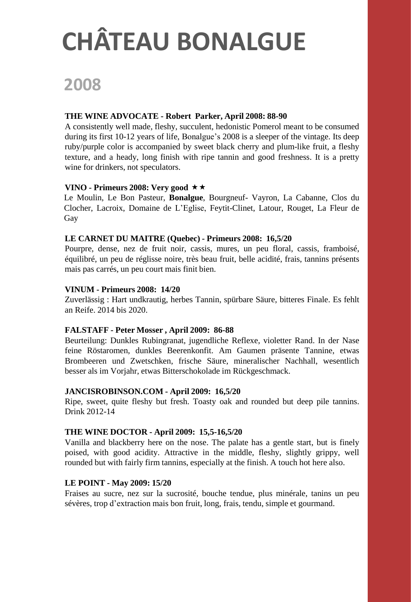### **2008**

#### **THE WINE ADVOCATE - Robert Parker, April 2008: 88-90**

A consistently well made, fleshy, succulent, hedonistic Pomerol meant to be consumed during its first 10-12 years of life, Bonalgue's 2008 is a sleeper of the vintage. Its deep ruby/purple color is accompanied by sweet black cherry and plum-like fruit, a fleshy texture, and a heady, long finish with ripe tannin and good freshness. It is a pretty wine for drinkers, not speculators.

#### **VINO - Primeurs** 2008: **Very** good  $\star \star$

Le Moulin, Le Bon Pasteur, **Bonalgue**, Bourgneuf- Vayron, La Cabanne, Clos du Clocher, Lacroix, Domaine de L'Eglise, Feytit-Clinet, Latour, Rouget, La Fleur de Gay

#### **LE CARNET DU MAITRE (Quebec) - Primeurs 2008: 16,5/20**

Pourpre, dense, nez de fruit noir, cassis, mures, un peu floral, cassis, framboisé, équilibré, un peu de réglisse noire, très beau fruit, belle acidité, frais, tannins présents mais pas carrés, un peu court mais finit bien.

#### **VINUM - Primeurs 2008: 14/20**

Zuverlässig : Hart undkrautig, herbes Tannin, spürbare Säure, bitteres Finale. Es fehlt an Reife. 2014 bis 2020.

#### **FALSTAFF - Peter Mosser , April 2009: 86-88**

Beurteilung: Dunkles Rubingranat, jugendliche Reflexe, violetter Rand. In der Nase feine Röstaromen, dunkles Beerenkonfit. Am Gaumen präsente Tannine, etwas Brombeeren und Zwetschken, frische Säure, mineralischer Nachhall, wesentlich besser als im Vorjahr, etwas Bitterschokolade im Rückgeschmack.

#### **JANCISROBINSON.COM - April 2009: 16,5/20**

Ripe, sweet, quite fleshy but fresh. Toasty oak and rounded but deep pile tannins. Drink 2012-14

#### **THE WINE DOCTOR - April 2009: 15,5-16,5/20**

Vanilla and blackberry here on the nose. The palate has a gentle start, but is finely poised, with good acidity. Attractive in the middle, fleshy, slightly grippy, well rounded but with fairly firm tannins, especially at the finish. A touch hot here also.

#### **LE POINT - May 2009: 15/20**

Fraises au sucre, nez sur la sucrosité, bouche tendue, plus minérale, tanins un peu sévères, trop d'extraction mais bon fruit, long, frais, tendu, simple et gourmand.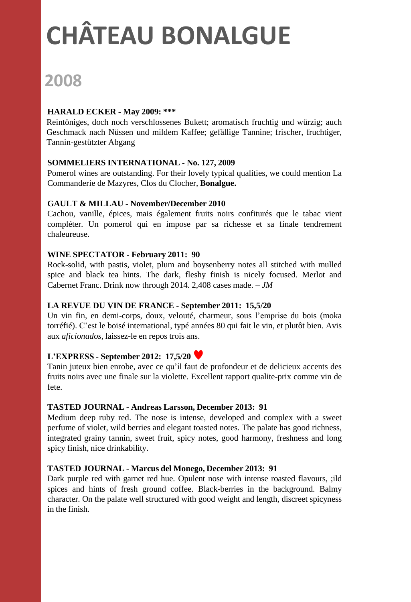## **2008**

#### **HARALD ECKER - May 2009: \*\*\***

Reintöniges, doch noch verschlossenes Bukett; aromatisch fruchtig und würzig; auch Geschmack nach Nüssen und mildem Kaffee; gefällige Tannine; frischer, fruchtiger, Tannin-gestützter Abgang

#### **SOMMELIERS INTERNATIONAL - No. 127, 2009**

Pomerol wines are outstanding. For their lovely typical qualities, we could mention La Commanderie de Mazyres, Clos du Clocher, **Bonalgue.**

#### **GAULT & MILLAU - November/December 2010**

Cachou, vanille, épices, mais également fruits noirs confiturés que le tabac vient compléter. Un pomerol qui en impose par sa richesse et sa finale tendrement chaleureuse.

#### **WINE SPECTATOR - February 2011: 90**

Rock-solid, with pastis, violet, plum and boysenberry notes all stitched with mulled spice and black tea hints. The dark, fleshy finish is nicely focused. Merlot and Cabernet Franc. Drink now through 2014. 2,408 cases made. *– JM*

#### **LA REVUE DU VIN DE FRANCE - September 2011: 15,5/20**

Un vin fin, en demi-corps, doux, velouté, charmeur, sous l'emprise du bois (moka torréfié). C'est le boisé international, typé années 80 qui fait le vin, et plutôt bien. Avis aux *aficionados*, laissez-le en repos trois ans.

#### **L'EXPRESS - September 2012: 17,5/20**

Tanin juteux bien enrobe, avec ce qu'il faut de profondeur et de delicieux accents des fruits noirs avec une finale sur la violette. Excellent rapport qualite-prix comme vin de fete.

#### **TASTED JOURNAL - Andreas Larsson, December 2013: 91**

Medium deep ruby red. The nose is intense, developed and complex with a sweet perfume of violet, wild berries and elegant toasted notes. The palate has good richness, integrated grainy tannin, sweet fruit, spicy notes, good harmony, freshness and long spicy finish, nice drinkability.

#### **TASTED JOURNAL - Marcus del Monego, December 2013: 91**

Dark purple red with garnet red hue. Opulent nose with intense roasted flavours, ;ild spices and hints of fresh ground coffee. Black-berries in the background. Balmy character. On the palate well structured with good weight and length, discreet spicyness in the finish.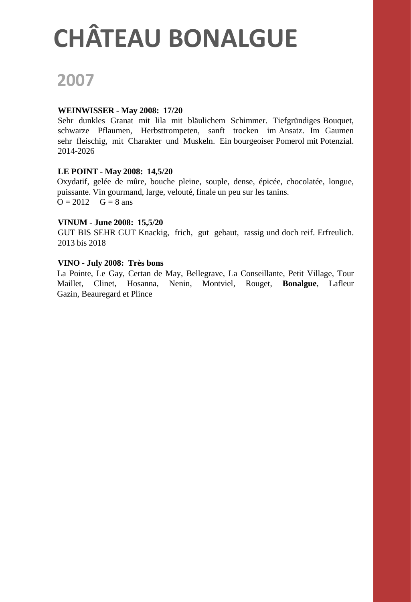### **2007**

#### **WEINWISSER - May 2008: 17/20**

Sehr dunkles Granat mit lila mit bläulichem Schimmer. Tiefgründiges Bouquet, schwarze Pflaumen, Herbsttrompeten, sanft trocken im Ansatz. Im Gaumen sehr fleischig, mit Charakter und Muskeln. Ein bourgeoiser Pomerol mit Potenzial. 2014-2026

#### **LE POINT - May 2008: 14,5/20**

Oxydatif, gelée de mûre, bouche pleine, souple, dense, épicée, chocolatée, longue, puissante. Vin gourmand, large, velouté, finale un peu sur les tanins.  $Q = 2012$   $G = 8$  ans

#### **VINUM - June 2008: 15,5/20**

GUT BIS SEHR GUT Knackig, frich, gut gebaut, rassig und doch reif. Erfreulich. 2013 bis 2018

#### **VINO - July 2008: Très bons**

La Pointe, Le Gay, Certan de May, Bellegrave, La Conseillante, Petit Village, Tour Maillet, Clinet, Hosanna, Nenin, Montviel, Rouget, **Bonalgue**, Lafleur Gazin, Beauregard et Plince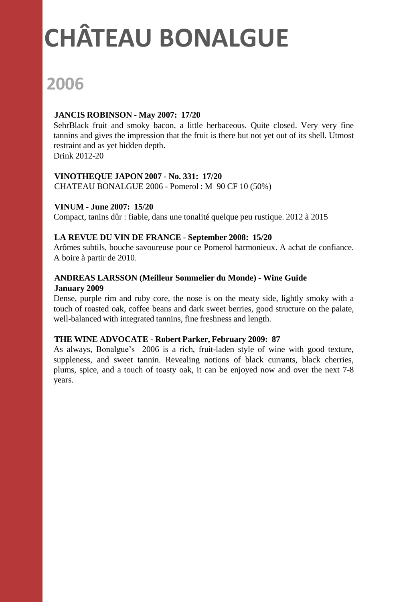### **2006**

#### **JANCIS ROBINSON - May 2007: 17/20**

SehrBlack fruit and smoky bacon, a little herbaceous. Quite closed. Very very fine tannins and gives the impression that the fruit is there but not yet out of its shell. Utmost restraint and as yet hidden depth.

Drink 2012-20

#### **VINOTHEQUE JAPON 2007 - No. 331: 17/20**

CHATEAU BONALGUE 2006 - Pomerol : M 90 CF 10 (50%)

#### **VINUM - June 2007: 15/20**

Compact, tanins dûr : fiable, dans une tonalité quelque peu rustique. 2012 à 2015

#### **LA REVUE DU VIN DE FRANCE - September 2008: 15/20**

Arômes subtils, bouche savoureuse pour ce Pomerol harmonieux. A achat de confiance. A boire à partir de 2010.

### **ANDREAS LARSSON (Meilleur Sommelier du Monde) - Wine Guide**

#### **January 2009**

Dense, purple rim and ruby core, the nose is on the meaty side, lightly smoky with a touch of roasted oak, coffee beans and dark sweet berries, good structure on the palate, well-balanced with integrated tannins, fine freshness and length.

#### **THE WINE ADVOCATE - Robert Parker, February 2009: 87**

As always, Bonalgue's 2006 is a rich, fruit-laden style of wine with good texture, suppleness, and sweet tannin. Revealing notions of black currants, black cherries, plums, spice, and a touch of toasty oak, it can be enjoyed now and over the next 7-8 years.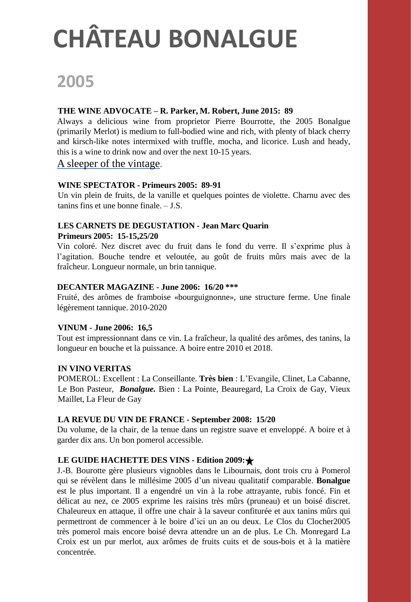### **2005**

#### **THE WINE ADVOCATE – R. Parker, M. Robert, June 2015: 89**

Always a delicious wine from proprietor Pierre Bourrotte, the 2005 Bonalgue (primarily Merlot) is medium to full-bodied wine and rich, with plenty of black cherry and kirsch-like notes intermixed with truffle, mocha, and licorice. Lush and heady, this is a wine to drink now and over the next 10-15 years.

#### A sleeper of the vintage.

#### **WINE SPECTATOR - Primeurs 2005: 89-91**

Un vin plein de fruits, de la vanille et quelques pointes de violette. Charnu avec des tanins fins et une bonne finale. – J.S.

#### **LES CARNETS DE DEGUSTATION - Jean Marc Quarin**

#### **Primeurs 2005: 15-15,25/20**

Vin coloré. Nez discret avec du fruit dans le fond du verre. Il s'exprime plus à l'agitation. Bouche tendre et veloutée, au goût de fruits mûrs mais avec de la fraîcheur. Longueur normale, un brin tannique.

#### **DECANTER MAGAZINE - June 2006: 16/20 \*\*\***

Fruité, des arômes de framboise «bourguignonne», une structure ferme. Une finale légèrement tannique. 2010-2020

#### **VINUM - June 2006: 16,5**

Tout est impressionnant dans ce vin. La fraîcheur, la qualité des arômes, des tanins, la longueur en bouche et la puissance. A boire entre 2010 et 2018.

#### **IN VINO VERITAS**

POMEROL: Excellent : La Conseillante. **Très bien** : L'Evangile, Clinet, La Cabanne, Le Bon Pasteur, *Bonalgue.* Bien : La Pointe, Beauregard, La Croix de Gay, Vieux Maillet, La Fleur de Gay

#### **LA REVUE DU VIN DE FRANCE - September 2008: 15/20**

Du volume, de la chair, de la tenue dans un registre suave et enveloppé. A boire et à garder dix ans. Un bon pomerol accessible.

#### **LE GUIDE HACHETTE DES VINS - Edition 2009:**

J.-B. Bourotte gère plusieurs vignobles dans le Libournais, dont trois cru à Pomerol qui se révèlent dans le millésime 2005 d'un niveau qualitatif comparable. **Bonalgue** est le plus important. Il a engendré un vin à la robe attrayante, rubis foncé. Fin et délicat au nez, ce 2005 exprime les raisins très mûrs (pruneau) et un boisé discret. Chaleureux en attaque, il offre une chair à la saveur confiturée et aux tanins mûrs qui permettront de commencer à le boire d'ici un an ou deux. Le Clos du Clocher2005 très pomerol mais encore boisé devra attendre un an de plus. Le Ch. Monregard La Croix est un pur merlot, aux arômes de fruits cuits et de sous-bois et à la matière concentrée.